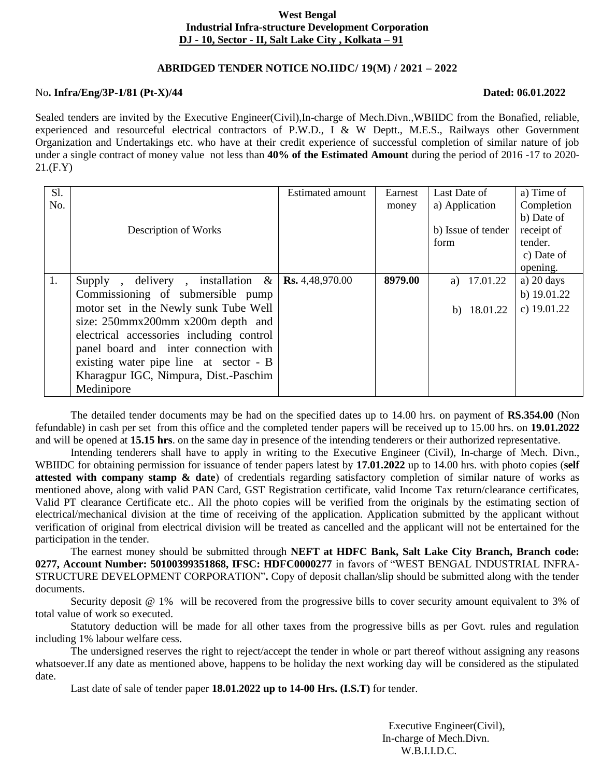# **West Bengal Industrial Infra-structure Development Corporation DJ - 10, Sector - II, Salt Lake City , Kolkata – 91**

# **ABRIDGED TENDER NOTICE NO.IIDC/ 19(M) / 2021 – 2022**

### No**. Infra/Eng/3P-1/81** (Pt-X)/44 **Dated: 06.01.2022**

Sealed tenders are invited by the Executive Engineer(Civil),In-charge of Mech.Divn.,WBIIDC from the Bonafied, reliable, experienced and resourceful electrical contractors of P.W.D., I & W Deptt., M.E.S., Railways other Government Organization and Undertakings etc. who have at their credit experience of successful completion of similar nature of job under a single contract of money value not less than **40% of the Estimated Amount** during the period of 2016 -17 to 2020- 21.(F.Y)

| <b>S1.</b> |                                           | Estimated amount       | Earnest | Last Date of       | a) Time of           |
|------------|-------------------------------------------|------------------------|---------|--------------------|----------------------|
| No.        |                                           |                        | money   | a) Application     | Completion           |
|            |                                           |                        |         |                    | b) Date of           |
|            | Description of Works                      |                        |         | b) Issue of tender | receipt of           |
|            |                                           |                        |         | form               | tender.              |
|            |                                           |                        |         |                    | c) Date of           |
|            |                                           |                        |         |                    | opening.             |
| 1.         | delivery, installation $\&$<br>$Supply$ , | <b>Rs.</b> 4,48,970.00 | 8979.00 | a) $17.01.22$      | a) $20 \text{ days}$ |
|            | Commissioning of submersible pump         |                        |         |                    | b) $19.01.22$        |
|            | motor set in the Newly sunk Tube Well     |                        |         | 18.01.22<br>b)     | c) $19.01.22$        |
|            | size: 250mmx200mm x200m depth and         |                        |         |                    |                      |
|            | electrical accessories including control  |                        |         |                    |                      |
|            | panel board and inter connection with     |                        |         |                    |                      |
|            | existing water pipe line at sector - B    |                        |         |                    |                      |
|            | Kharagpur IGC, Nimpura, Dist.-Paschim     |                        |         |                    |                      |
|            | Medinipore                                |                        |         |                    |                      |

The detailed tender documents may be had on the specified dates up to 14.00 hrs. on payment of **RS.354.00** (Non fefundable) in cash per set from this office and the completed tender papers will be received up to 15.00 hrs. on **19.01.2022** and will be opened at **15.15 hrs**. on the same day in presence of the intending tenderers or their authorized representative.

Intending tenderers shall have to apply in writing to the Executive Engineer (Civil), In-charge of Mech. Divn., WBIIDC for obtaining permission for issuance of tender papers latest by **17.01.2022** up to 14.00 hrs. with photo copies (**self attested with company stamp & date**) of credentials regarding satisfactory completion of similar nature of works as mentioned above, along with valid PAN Card, GST Registration certificate, valid Income Tax return/clearance certificates, Valid PT clearance Certificate etc.. All the photo copies will be verified from the originals by the estimating section of electrical/mechanical division at the time of receiving of the application. Application submitted by the applicant without verification of original from electrical division will be treated as cancelled and the applicant will not be entertained for the participation in the tender.

The earnest money should be submitted through **NEFT at HDFC Bank, Salt Lake City Branch, Branch code: 0277, Account Number: 50100399351868, IFSC: HDFC0000277** in favors of "WEST BENGAL INDUSTRIAL INFRA-STRUCTURE DEVELOPMENT CORPORATION"**.** Copy of deposit challan/slip should be submitted along with the tender documents.

Security deposit @ 1% will be recovered from the progressive bills to cover security amount equivalent to 3% of total value of work so executed.

Statutory deduction will be made for all other taxes from the progressive bills as per Govt. rules and regulation including 1% labour welfare cess.

The undersigned reserves the right to reject/accept the tender in whole or part thereof without assigning any reasons whatsoever.If any date as mentioned above, happens to be holiday the next working day will be considered as the stipulated date.

Last date of sale of tender paper **18.01.2022 up to 14-00 Hrs. (I.S.T)** for tender.

 Executive Engineer(Civil), In-charge of Mech.Divn. W.B.I.I.D.C.